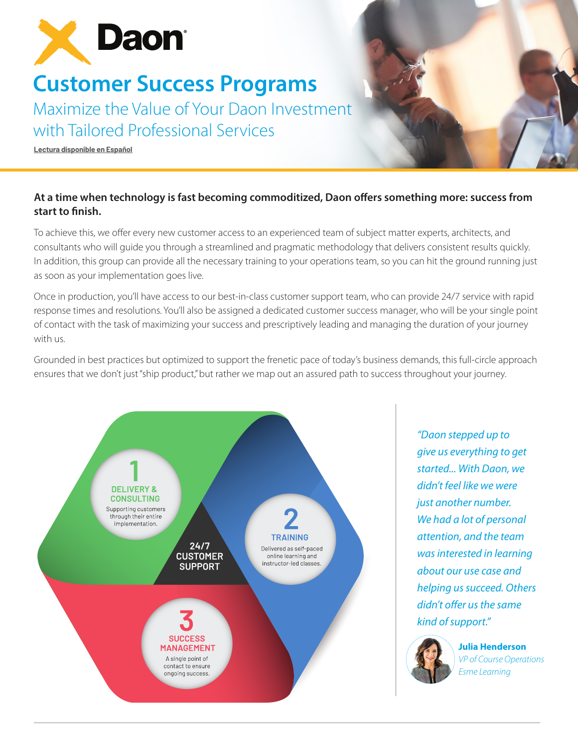

# **Customer Success Programs**

Maximize the Value of Your Daon Investment with Tailored Professional Services

**[Lectura disponible en Español](https://f.hubspotusercontent40.net/hubfs/8526146/Assets/Datasheets/Daon%20Customer%20Success%20Programs%20-%20Spanish%20031622.pdf)**

## **At a time when technology is fast becoming commoditized, Daon offers something more: success from start to finish.**

To achieve this, we offer every new customer access to an experienced team of subject matter experts, architects, and consultants who will guide you through a streamlined and pragmatic methodology that delivers consistent results quickly. In addition, this group can provide all the necessary training to your operations team, so you can hit the ground running just as soon as your implementation goes live.

Once in production, you'll have access to our best-in-class customer support team, who can provide 24/7 service with rapid response times and resolutions. You'll also be assigned a dedicated customer success manager, who will be your single point of contact with the task of maximizing your success and prescriptively leading and managing the duration of your journey with us.

Grounded in best practices but optimized to support the frenetic pace of today's business demands, this full-circle approach ensures that we don't just "ship product," but rather we map out an assured path to success throughout your journey.



*"Daon stepped up to give us everything to get started... With Daon, we didn't feel like we were just another number. We had a lot of personal attention, and the team was interested in learning about our use case and helping us succeed. Others didn't offer us the same kind of support."* 



**Julia Henderson** *VP of Course Operations Esme Learning*